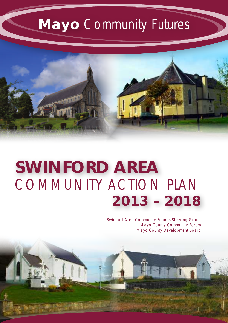# **Mayo** Community Futures

SWINFORD AREA



# COMMUNITY ACTION PLAN **SWINFORD AREA 2013 – 2018**

*Swinford Area Community Futures Steering Group Mayo County Community Forum Mayo County Development Board*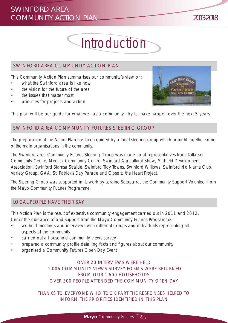# **Introduction**

### SWINFORD AREA COMMUNITY ACTION PLAN

This Community Action Plan summarises our community's view on:

- what the Swinford area is like now
- the vision for the future of the area
- the issues that matter most
- priorities for projects and action



This plan will be our guide for what we - as a community - try to make happen over the next 5 years.

### SWINFORD AREA COMMMUNITY FUTURES STEERING GROUP

The preparation of the Action Plan has been guided by a local steering group which brought together some of the main organisations in the community.

The Swinford area Community Futures Steering Group was made up of representatives from: Killasser Community Centre, Meelick Community Centre, Swinford Agricultural Show, Midfield Development Association, Swinford Siamsa Stráide, Swinford Tidy Towns, Swinford Willows, Swinford No Name Club, Variety Group, GAA, St. Patrick's Day Parade and Close to the Heart Project.

The Steering Group was supported in its work by Loraine Sotoparra, the Community Support Volunteer from the Mayo Community Futures Programme.

### LOCAL PEOPLE HAVE THEIR SAY

This Action Plan is the result of extensive community engagement carried out in 2011 and 2012. Under the guidance of and support from the Mayo Community Futures Programme:

- we held meetings and interviews with different groups and individuals representing all aspects of the community
- carried out a household community views survey
- prepared a community profile detailing facts and figures about our community
- organised a Community Futures Open Day Event

*OVER 20 INTERVIEWS WERE HELD 1,006 COMMUNITY VIEWS SURVEY FORMS WERE RETURNED FROM OUR 1,600 HOUSEHOLDS OVER 300 PEOPLE ATTENDED THE COMMUNITY OPEN DAY*

*THANKS TO EVERYONE WHO TOOK PART THE RESPONSES HELPED TO INFORM THE PRIORITIES IDENTIFIED IN THIS PLAN*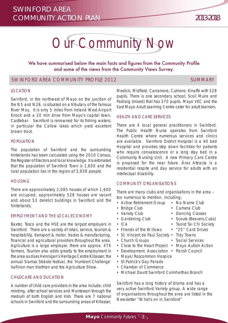# Our Community Now

We have summarised below the main facts and figures from the Community Profile and some of the views from the Community Views Survey.

#### SWINFORD AREA COMMUNITY PROFILE 2012 **SUMMARY** SUMMARY

#### **LOCATION**

Swinford, in the northwest of Mayo on the junction of the N5 and N26, is situated on a tributary of the famous River Moy. It is only 5 miles from Ireland West Airport Knock and a 20 min drive from Mayo's capital town, Castlebar. Swinford is renowned for its fishing waters; in particular the Callow lakes which yield excellent brown trout.

#### POPULATION

The population of Swinford and the surrounding hinterlands has been calculated using the 2010 Census, the Register of Electors and local knowledge. It is estimated that the population of Swinford Town is 1,600 and the rural population lies in the region of 3,939 people.

#### **HOUSING**

There are approximately 2,085 houses of which 1,600 are occupied, approximately 528 houses are vacant and about 53 derelict buildings in Swinford and the hinterlands.

#### EMPLOYMENT AND THE LOCAL ECONOMY

Baxter, Tesco and the HSE are the largest employers in Swinford. There are a variety of retail, service, tourism & hospitability, transport & motor, trades & manufacturing, financial and agricultural providers throughout the area. Agriculture is a large employer, there are approx. 474 farmers. Tourism also adds greatly to the employment in the area as does Hennigan's Heritage Centre Killasser, the annual Siamsa Stráide festival, the 'Humbert Challenge' half-iron man triathlon and the Agriculture Show.

#### CHILDCARE AND DUCATION

A number of child care providers in the area include; child minding, after school services and Montessori through the medium of both English and Irish. There are 7 national schools in Swinford and the surrounding areas of Killasser,

Meelick, Midfield, Carramore, Culmore, Kinaffe with 528 pupils. There is one secondary school; Scoil Muire and Padraig (mixed) that has 370 pupils. Mayo VEC and the East Mayo Adult Learning Centre cater for adult learners.

#### HEALTH AND CARE SERVICES

There are 4 local general practitioners in Swinford. The Public Health Nurse operates from Swinford Health Centre where numerous services and clinics are available. Swinford District Hospital is a 40 bed Hospital and provides step down facilities for patients who require convalescence or a long stay bed in a Community Nursing Unit. A new Primary Care Centre is proposed for the near future. Áras Attracta is a residential respite and day service for adults with an intellectual disability.

#### COMMUNITY ORGANISATIONS

There are many clubs and organisations in the area – too numerous to mention, including;

- Active Retirement Group No Name Club
- Bridge Club Camera Club
- Variety Club Dancing Classes
- Gardening Club Scouts (Beavers, Cubs)
- ICA Taoist Tai Chi Society
- Friends of the Willows "25" Card Drives
- St. Vincent de Paul Society Tidy Towns
- Church Groups Social Services
- Close to the Heart Project Mayo Autism Action
- Development Association Parish Council
- Mayo/Roscommon Hospice
- St Patrick's Day Parade
- Chamber of Commerce
- Michael Davitt Swinford Colmhalthas Branch

Swinford has a long history of drama and has a very active Swinford Variety group. A wide range of organisations throughout the area are listed in the Newsletter "What's on in Swinford"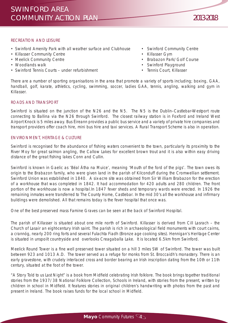#### RECREATION AND LEISURE

- Swinford Amenity Park with all weather surface and Clubhouse Swinford Community Centre
- Killasser Community Centre Killasser Gym
- 
- 
- Swinford Tennis Courts under refurbishment Tennis Court, Killasser
- 
- 
- Meelick Community Centre  **Access 2008** Brabazon Park/Golf Course
- Woodlands walk **•** Woodlands walk
	-

There are a number of sporting organisations in the area that promote a variety of sports including; boxing, GAA, handball, golf, karate, athletics, cycling, swimming, soccer, ladies GAA, tennis, angling, walking and gym in Killasser.

#### ROADS AND TRANSPORT

Swinford is situated on the junction of the N26 and the N5. The N5 is the Dublin–Castlebar-Westport route connecting to Ballina via the N26 through Swinford. The closest railway station is in Foxford and Ireland West Airport Knock is 5 miles away. Bus Éireann provides a public bus service and a variety of private hire companies and transport providers offer coach hire, mini bus hire and taxi services. A Rural Transport Scheme is also in operation.

#### ENVIRONMENT, HERITAGE & CULTURE

Swinford is recognised for the abundance of fishing waters convenient to the town, particularly its proximity to the River Moy for great salmon angling, the Callow Lakes for excellent brown trout and it is also within easy driving distance of the great fishing lakes Conn and Cullin.

Swinford is known in Gaelic as 'Béal Átha na Muice', meaning 'Mouth of the ford of the pigs'. The town owes its origin to the Brabazon family, who were given land in the parish of Kilconduff during the Cromwellian settlement. Swinford Union was established in 1840. A six-acre site was obtained from Sir William Brabazon for the erection of a workhouse that was completed in 1842. It had accommodation for 420 adults and 280 children. The front portion of the workhouse is now a hospital.In 1847 fever sheds and temporary wards were erected. In 1926 the remaining inmates were transferred to The County Home, Castlebar. In the mid 30's all the workhouse and infirmary buildings were demolished. All that remains today is the fever hospital that once was.

One of the best preserved mass Famine Graves can be seen at the back of Swinford Hospital.

The parish of Killasser is situated about one mile north of Swinford. Killasser is derived from Cill Lasrach – the Church of Lasair an eight-century Irish saint. The parish is rich in archaeological field monuments with court cairns, a crannóg, nearly 200 ring forts and several Fulachta Fiadh (Bronze age cooking sites). Hennigan's Heritage Center is situated in unspoilt countryside and overlooks Creagaballa Lake. It is located 6.5km from Swinford.

Meelick Round Tower is a fine well preserved tower situated on a hill 3 miles SW of Swinford. The tower was built between 923 and 1013 A.D. The tower served as a refuge for monks from St. Broccaidh's monastery. There is an early gravestone, with crudely interlaced cross and border bearing an Irish inscription dating from the 10th or 11th century, situated at the foot of the tower.

"A Story Told to us Last Night" is a book from Midfield celebrating Irish folklore. The book brings together traditional stories from the 1937/38 National Folklore Collection, Schools in Ireland, with stories from the present, written by children in school in Midfield. It features stories in original children's handwriting with photos from the past and present in Ireland. The book raises funds for the local school in Midfield.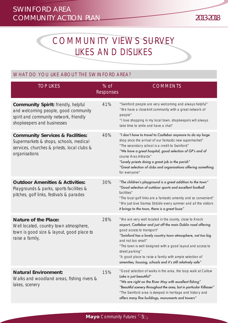# COMMUNITY VIEWS SURVEY LIKES AND DISLIKES

## WHAT DO YOU LIKE ABOUT THE SWINFORD AREA?

| <b>TOP LIKES</b>                                                                                                                                           | $%$ of<br><b>Responses</b> | <b>COMMENTS</b>                                                                                                                                                                                                                                                                                                                                                                                                                                        |
|------------------------------------------------------------------------------------------------------------------------------------------------------------|----------------------------|--------------------------------------------------------------------------------------------------------------------------------------------------------------------------------------------------------------------------------------------------------------------------------------------------------------------------------------------------------------------------------------------------------------------------------------------------------|
| <b>Community Spirit: friendly, helpful</b><br>and welcoming people, good community<br>spirit and community network, friendly<br>shopkeepers and businesses | 41%                        | "Swinford people are very welcoming and always helpful"<br>"We have a close-knit community with a great network of<br>people"<br>"I love shopping in my local town, shopkeepers will always<br>take time to smile and have a chat"                                                                                                                                                                                                                     |
| <b>Community Services &amp; Facilities:</b><br>Supermarkets & shops, schools, medical<br>services, churches & priests, local clubs &<br>organisations      | 40%                        | "I don't have to travel to Castlebar anymore to do my large<br>shop since the arrival of our fantastic new supermarket"<br>"The secondary school is a credit to Swinford"<br>"We have a great hospital, good selection of GP's and of<br>course Áras Attracta"<br>"Lovely priests doing a great job in the parish"<br>"Great selection of clubs and organisations offering something<br>for everyone"                                                  |
| <b>Outdoor Amenities &amp; Activities:</b><br>Playgrounds & parks, sports facilities &<br>pitches, golf links, festivals & parades                         | 30%                        | "The children's playground is a great addition to the town"<br>"Good selection of outdoor sports and excellent football<br>facilities"<br>"The local golf links are a fantastic amenity and so convenient"<br>"We just love Siamsa Stráide every summer and all the visitors<br>it brings to the town, there is a great buzz"                                                                                                                          |
| <b>Nature of the Place:</b><br>Well located, country town atmosphere,<br>town is good size & layout, good place to<br>raise a family,                      | 28%                        | "We are very well located in the county, close to Knock<br>airport, Castlebar and just off the main Dublin road offering<br>good access to transport"<br>"Swinford has a lovely country town atmosphere, not too big<br>and not too small"<br>"The town is well designed with a good layout and access to<br>street parking"<br>"A good place to raise a family with ample selection of<br>amenities, housing, schools and it's still relatively safe" |
| <b>Natural Environment:</b><br>Walks and woodland areas, fishing rivers &<br>lakes, scenery                                                                | 15%                        | "Good selection of walks in the area, the loop walk at Callow<br>Lake is just beautiful"<br>"We are right on the River Moy with excellent fishing"<br>"Beautiful scenery throughout the area, but in particular Killasser"<br>"The Swinford area is steeped in heritage and history and<br>offers many fine buildings, monuments and towers"                                                                                                           |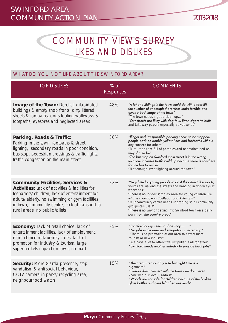# COMMUNITY VIEWS SURVEY LIKES AND DISLIKES

## WHAT DO YOU NOT LIKE ABOUT THE SWINFORD AREA?

| <b>TOP DISLIKES</b>                                                                                                                                                                                                                                                                          | $%$ of<br>Responses | <b>COMMENTS</b>                                                                                                                                                                                                                                                                                                                                                                                                                       |
|----------------------------------------------------------------------------------------------------------------------------------------------------------------------------------------------------------------------------------------------------------------------------------------------|---------------------|---------------------------------------------------------------------------------------------------------------------------------------------------------------------------------------------------------------------------------------------------------------------------------------------------------------------------------------------------------------------------------------------------------------------------------------|
| Image of the Town: Derelict, dilapidated<br>buildings & empty shop fronts, dirty littered<br>streets & footpaths, dogs fouling walkways &<br>footpaths, eyesores and neglected areas                                                                                                         | 48%                 | "A lot of buildings in the town could do with a face-lift,<br>the number of unoccupied premises looks terrible and<br>gives a bad image of the town"<br>"The town needs a good clean up"<br>"Our streets are filthy with dog foul, litter, cigarette butts<br>and take-way papers especially at weekends"                                                                                                                             |
| Parking, Roads & Traffic:<br>Parking in the town, footpaths & street<br>lighting, secondary roads in poor condition,<br>bus stop, pedestrian crossings & traffic lights,<br>traffic congestion on the main street                                                                            | 36%                 | "Illegal and irresponsible parking needs to be stopped,<br>people park on double yellow lines and footpaths without<br>any concern for others"<br>"Rural roads are full of potholes and not maintained as<br>they should be"<br>"The bus stop on Swinford main street is in the wrong<br>location, it causes traffic build up because there is no-where<br>for the bus to pull in"<br>"Not enough street lighting around the town"    |
| <b>Community Facilities, Services &amp;</b><br><b>Activities:</b> Lack of activities & facilities for<br>teenagers/children, lack of entertainment for<br>adults/elderly, no swimming or gym facilities<br>in town, community centre, lack of transport to<br>rural areas, no public toilets | 32%                 | "Very little for young people to do if they don't like sports,<br>youths are walking the streets and hanging in doorways at<br>weekends"<br>"There is no indoor soft play area for young children like<br>what is available in Castlebar and Kiltimagh"<br>"Our community centre needs upgrading so all community<br>groups can use it"<br>"There is no way of getting into Swinford town on a daily<br>basis from the country areas" |
| <b>Economy:</b> Lack of retail choice, lack of<br>entertainment facilities, lack of employment,<br>more choice restaurants/cafes, lack of<br>promotion for industry & tourism, large<br>supermarkets impact on town, no mart                                                                 | 25%                 | "Swinford badly needs a shoe shop"<br>"No jobs in the area and emigration is increasing"<br>"There is no promotion of our area to attract more<br>tourists or new industry"<br>"We have a lot to offer-if we just pulled it all together"<br>"Swinford needs another industry to provide local jobs"                                                                                                                                  |
| <b>Security:</b> More Garda presence, stop<br>vandalism & anti-social behaviour,<br>CCTV camera in parks/recycling area,<br>neighbourhood watch                                                                                                                                              | 15%                 | "The area is reasonably safe but night time is a<br>nightmare"<br>"Gardaí don't connect with the town - we don't even<br>know who our local Garda is"<br>"Woods are not safe for children because of the broken<br>glass bottles and cans left after weekends"                                                                                                                                                                        |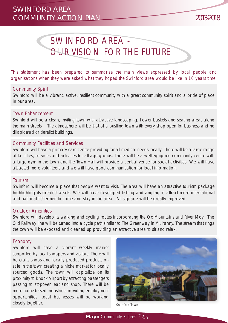# SWINFORD AREA - OUR VISION FOR THE FUTURE

This statement has been prepared to summarise the main views expressed by local people and organisations when they were asked what they hoped the Swinford area would be like in 10 years time.

#### Community Spirit

Swinford will be a vibrant, active, resilient community with a great community spirit and a pride of place in our area.

#### Town Enhancement

Swinford will be a clean, inviting town with attractive landscaping, flower baskets and seating areas along the main streets. The atmosphere will be that of a bustling town with every shop open for business and no dilapidated or derelict buildings.

#### Community Facilities and Services

Swinford will have a primary care centre providing for all medical needs locally. There will be a large range of facilities, services and activities for all age groups. There will be a well-equipped community centre with a large gym in the town and the Town Hall will provide a central venue for social activities. We will have attracted more volunteers and we will have good communication for local information.

#### Tourism

Swinford will become a place that people want to visit. The area will have an attractive tourism package highlighting its greatest assets. We will have developed fishing and angling to attract more international and national fishermen to come and stay in the area. All signage will be greatly improved.

#### Outdoor Amenities

Swinford will develop its walking and cycling routes incorporating the Ox Mountains and River Moy. The Old Railway line will be turned into a cycle path similar to The Greenway in Mulranny. The stream that rings the town will be exposed and cleaned up providing an attractive area to sit and relax.

#### **Economy**

Swinford will have a vibrant weekly market supported by local shoppers and visitors. There will be crafts shops and locally produced products on sale in the town creating a niche market for locally sourced goods. The town will capitalize on its proximity to Knock Airport by attracting passengers passing to stopover, eat and shop. There will be more home-based industries providing employment opportunities. Local businesses will be working closely together. The contract of the contract of the swinford Town

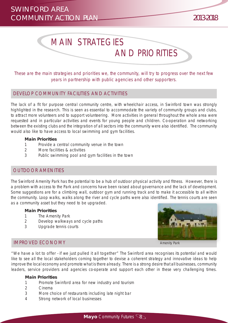# MAIN STRATEGIES AND PRIORITIES

These are the main strategies and priorities we, the community, will try to progress over the next few years in partnership with public agencies and other supporters.

#### DEVELOP COMMUNITY FACILITIES AND ACTIVITIES

The lack of a fit for purpose central community centre, with wheelchair access, in Swinford town was strongly highlighted in the research. This is seen as essential to accommodate the variety of community groups and clubs, to attract more volunteers and to support volunteering. More activities in general throughout the whole area were requested and in particular activities and events for young people and children. Co-operation and networking between the existing clubs and the integration of all sectors into the community were also identified. The community would also like to have access to local swimming and gym facilities.

#### **Main Priorities**

- 1 Provide a central community venue in the town
- 2 More facilities & activities
- 3 Public swimming pool and gym facilities in the town

#### OUTDOOR AMENITIES

The Swinford Amenity Park has the potential to be a hub of outdoor physical activity and fitness. However, there is a problem with access to the Park and concerns have been raised about governance and the lack of development. Some suggestions are for a climbing wall, outdoor gym and running track and to make it accessible to all within the community. Loop walks, walks along the river and cycle paths were also identified. The tennis courts are seen as a community asset but they need to be upgraded.

#### **Main Priorities**

- 1 The Amenity Park
- 2 Develop walkways and cycle paths
- 3 Upgrade tennis courts

#### IMPROVED ECONOMY



*"We have a lot to offer - if we just pulled it all together"* The Swinford area recognises its potential and would like to see all the local stakeholders coming together to devise a coherent strategy and innovative ideas to help improve the local economy and promote what is there already. There is a strong desire that all businesses, community leaders, service providers and agencies co-operate and support each other in these very challenging times.

#### **Main Priorities**

- 1 Promote Swinford area for new industry and tourism
- 2 Cinema
- 3 More choice of restaurants including late night bar
- 4 Strong network of local businesses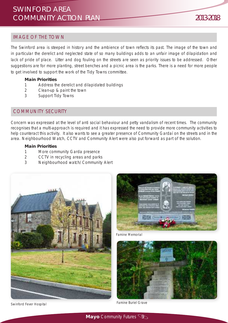#### IMAGE OF THE TOWN

The Swinford area is steeped in history and the ambience of town reflects its past. The image of the town and in particular the derelict and neglected state of so many buildings adds to an unfair image of dilapidation and lack of pride of place. Litter and dog fouling on the streets are seen as priority issues to be addressed. Other suggestions are for more planting, street benches and a picnic area is the parks. There is a need for more people to get involved to support the work of the Tidy Towns committee.

#### **Main Priorities**

- 1 Address the derelict and dilapidated buildings
- 2 Clean-up & paint the town
- 3 Support Tidy Towns

#### COMMUNITY SECURITY

Concern was expressed at the level of anti social behaviour and petty vandalism of recent times. The community recognises that a multi-approach is required and it has expressed the need to provide more community activities to help counteract this activity. It also wants to see a greater presence of Community Gardaí on the streets and in the area. Neighbourhood Watch, CCTV and Community Alert were also put forward as part of the solution.

#### **Main Priorities**

- 1 More community Garda presence
- 2 CCTV in recycling areas and parks
- 3 Neighbourhood watch/Community Alert







Famine Memorial



Famine Buriel Grave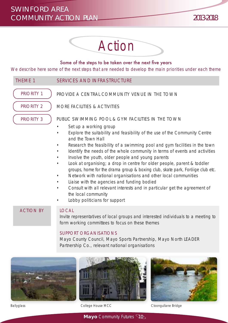

#### Some of the steps to be taken over the next five years

We describe here some of the next steps that are needed to develop the main priorities under each theme



### Mayo County Council, Mayo Sports Partnership, Mayo North LEADER Partnership Co., relevant national organisations





Ballyglass College House MCC Cloongullane Bridge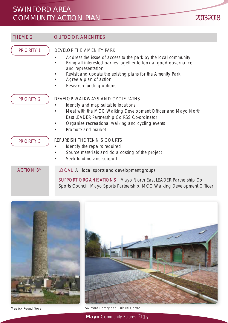THEME 2 **OUTDOOR AMENITIES** DEVELOP THE AMENITY PARK • Address the issue of access to the park by the local community • Bring all interested parties together to look at good governance and representation • Revisit and update the existing plans for the Amenity Park • Agree a plan of action • Research funding options PRIORITY 1 DEVELOP WALKWAYS AND CYCLE PATHS • Identify and map suitable locations • Meet with the MCC Walking Development Officer and Mayo North East LEADER Partnership Co RSS Co-ordinator • Organise recreational walking and cycling events • Promote and market REFURBISH THE TENNIS COURTS Identify the repairs required Source materials and do a costing of the project Seek funding and support PRIORITY 2 PRIORITY 3 LOCAL All local sports and development groups SUPPORT ORGANISATIONS Mayo North East LEADER Partnership Co, Sports Council, Mayo Sports Partnership, MCC Walking Development Officer ACTION BY





Meelick Round Tower Swinford Library and Cultural Centre

**Mayo** Community Futures  $\mathbb{Q}$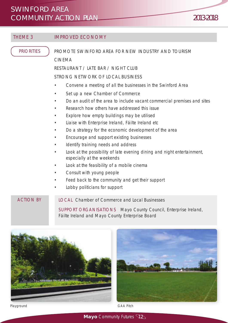#### THEME 3 **IMPROVED ECONOMY**

**PRIORITIES** 

PROMOTE SWINFORD AREA FOR NEW INDUSTRY AND TOURISM CINEMA

RESTAURANT / LATE BAR / NIGHT CLUB

STRONG NETWORK OF LOCAL BUSINESS

- Convene a meeting of all the businesses in the Swinford Area
- Set up a new Chamber of Commerce
- Do an audit of the area to include vacant commercial premises and sites
- Research how others have addressed this issue
- Explore how empty buildings may be utilised
- Liaise with Enterprise Ireland, Fáilte Ireland etc
- Do a strategy for the economic development of the area
- Encourage and support existing businesses
- Identify training needs and address
- Look at the possibility of late evening dining and night entertainment, especially at the weekends
- Look at the feasibility of a mobile cinema
- Consult with young people
- Feed back to the community and get their support
- Lobby politicians for support

LOCAL Chamber of Commerce and Local Businesses SUPPORT ORGANISATIONS Mayo County Council, Enterprise Ireland, Fáilte Ireland and Mayo County Enterprise Board ACTION BY





**Mayo** Community Futures 42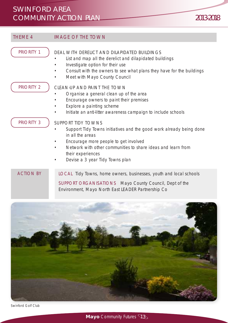| <b>THEME 4</b>    | <b>IMAGE OF THE TOWN</b>                                                                                                                                                                                                                                                              |
|-------------------|---------------------------------------------------------------------------------------------------------------------------------------------------------------------------------------------------------------------------------------------------------------------------------------|
| <b>PRIORITY 1</b> | DEAL WITH DERELICT AND DILAPIDATED BUILDINGS<br>List and map all the derelict and dilapidated buildings<br>Investigate option for their use<br>Consult with the owners to see what plans they have for the buildings<br>Meet with Mayo County Council                                 |
| PRIORITY 2        | CLEAN-UP AND PAINT THE TOWN<br>Organise a general clean up of the area<br>Encourage owners to paint their premises<br>Explore a painting scheme<br>Initiate an anti-litter awareness campaign to include schools                                                                      |
| <b>PRIORITY 3</b> | <b>SUPPORT TIDY TOWNS</b><br>Support Tidy Towns initiatives and the good work already being done<br>in all the areas<br>Encourage more people to get involved<br>Network with other communities to share ideas and learn from<br>their experiences<br>Devise a 3 year Tidy Towns plan |
| <b>ACTION BY</b>  | LOCAL Tidy Towns, home owners, businesses, youth and local schools<br>SUPPORT ORGANISATIONS Mayo County Council, Dept of the                                                                                                                                                          |



Swinford Golf Club

**Mayo** Community Futures 43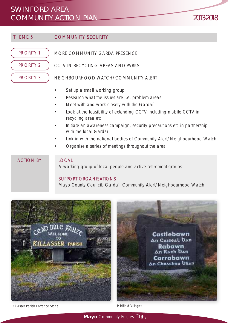THEME 5 COMMUNITY SECURITY MORE COMMUNITY GARDA PRESENCE CCTV IN RECYCLING AREAS AND PARKS NEIGHBOURHOOD WATCH/COMMUNITY ALERT Set up a small working group Research what the issues are i.e. problem areas • Meet with and work closely with the Gardaí • Look at the feasibility of extending CCTV including mobile CCTV in recycling area etc • Initiate an awareness campaign, security precautions etc in partnership with the local Gardaí • Link in with the national bodies of Community Alert/Neighbourhood Watch • Organise a series of meetings throughout the area PRIORITY 1 PRIORITY 2 PRIORITY 3 **LOCAL** A working group of local people and active retirement groups ACTION BY



Mayo County Council, Gardaí, Community Alert/Neighbourhood Watch



Killasser Parish Entrance Stone Midfield Villages

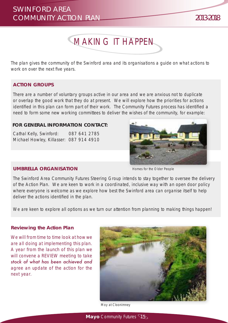

The plan gives the community of the Swinford area and its organisations a guide on what actions to work on over the next five years.

#### **ACTION GROUPS**

There are a number of voluntary groups active in our area and we are anxious not to duplicate or overlap the good work that they do at present. We will explore how the priorities for actions identified in this plan can form part of their work. The Community Futures process has identified a need to form some new working committees to deliver the wishes of the community, for example:

#### **FOR GENERAL INFORMATION CONTACT:**

Cathal Kelly, Swinford: 087 641 2785 Michael Howley, Killasser: 087 914 4910



#### **UMBRELLA ORGANISATION**

Homes for the Older People

The Swinford Area Community Futures Steering Group intends to stay together to oversee the delivery of the Action Plan. We are keen to work in a coordinated, inclusive way with an open door policy where everyone is welcome as we explore how best the Swinford area can organise itself to help deliver the actions identified in the plan.

We are keen to explore all options as we turn our attention from planning to making things happen!

#### **Reviewing the Action Plan**

*We will from time to time look at how we are all doing at implementing this plan. A year from the launch of this plan we will convene a REVIEW meeting to take stock of what has been achieved and agree an update of the action for the next year.* 



Moy at Cloonimney